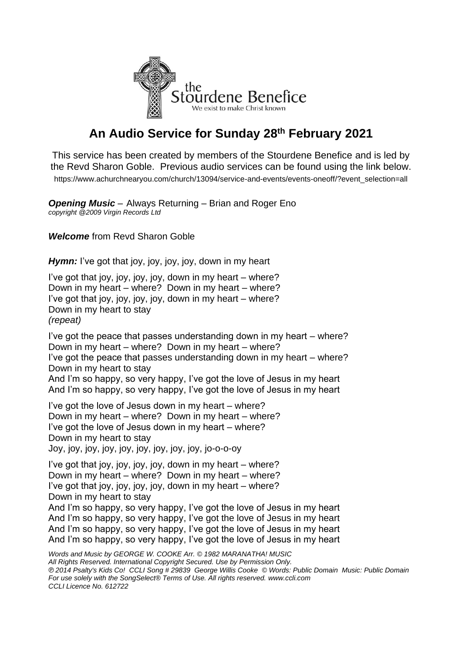

# **An Audio Service for Sunday 28 th February 2021**

This service has been created by members of the Stourdene Benefice and is led by the Revd Sharon Goble. Previous audio services can be found using the link below. [https://www.achurchnearyou.com/church/13094/service-and-events/events-oneoff/?event\\_selection=all](https://www.achurchnearyou.com/church/13094/service-and-events/events-oneoff/?event_selection=all)

*Opening Music* – Always Returning – Brian and Roger Eno *copyright @2009 Virgin Records Ltd*

*Welcome* from Revd Sharon Goble

Hymn: I've got that joy, joy, joy, joy, down in my heart

I've got that joy, joy, joy, joy, down in my heart – where? Down in my heart – where? Down in my heart – where? I've got that joy, joy, joy, joy, down in my heart – where? Down in my heart to stay *(repeat)*

I've got the peace that passes understanding down in my heart – where? Down in my heart – where? Down in my heart – where? I've got the peace that passes understanding down in my heart – where? Down in my heart to stay

And I'm so happy, so very happy, I've got the love of Jesus in my heart And I'm so happy, so very happy, I've got the love of Jesus in my heart

I've got the love of Jesus down in my heart – where? Down in my heart – where? Down in my heart – where? I've got the love of Jesus down in my heart – where? Down in my heart to stay Joy, joy, joy, joy, joy, joy, joy, joy, joy, jo-o-o-oy

I've got that joy, joy, joy, joy, down in my heart – where? Down in my heart – where? Down in my heart – where? I've got that joy, joy, joy, joy, down in my heart – where? Down in my heart to stay

And I'm so happy, so very happy, I've got the love of Jesus in my heart And I'm so happy, so very happy, I've got the love of Jesus in my heart And I'm so happy, so very happy, I've got the love of Jesus in my heart And I'm so happy, so very happy, I've got the love of Jesus in my heart

*Words and Music by GEORGE W. COOKE Arr. © 1982 MARANATHA! MUSIC All Rights Reserved. International Copyright Secured. Use by Permission Only. ℗ 2014 Psalty's Kids Co! CCLI Song # 29839 George Willis Cooke © Words: Public Domain Music: Public Domain For use solely with the SongSelect® Terms of Use. All rights reserved. www.ccli.com CCLI Licence No. 612722*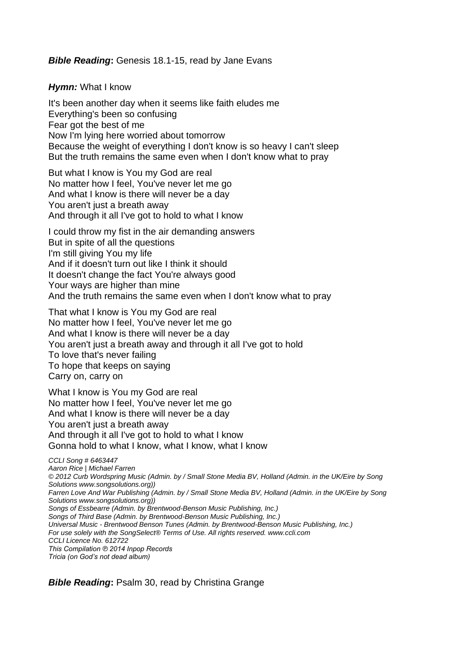### *Bible Reading***:** Genesis 18.1-15, read by Jane Evans

#### *Hymn:* What I know

It's been another day when it seems like faith eludes me Everything's been so confusing Fear got the best of me Now I'm lying here worried about tomorrow Because the weight of everything I don't know is so heavy I can't sleep But the truth remains the same even when I don't know what to pray

But what I know is You my God are real No matter how I feel, You've never let me go And what I know is there will never be a day You aren't just a breath away And through it all I've got to hold to what I know

I could throw my fist in the air demanding answers But in spite of all the questions I'm still giving You my life And if it doesn't turn out like I think it should It doesn't change the fact You're always good Your ways are higher than mine And the truth remains the same even when I don't know what to pray

That what I know is You my God are real No matter how I feel, You've never let me go And what I know is there will never be a day You aren't just a breath away and through it all I've got to hold To love that's never failing To hope that keeps on saying Carry on, carry on

What I know is You my God are real No matter how I feel, You've never let me go And what I know is there will never be a day You aren't just a breath away And through it all I've got to hold to what I know Gonna hold to what I know, what I know, what I know

*CCLI Song # 6463447 Aaron Rice | Michael Farren © 2012 Curb Wordspring Music (Admin. by / Small Stone Media BV, Holland (Admin. in the UK/Eire by Song Solutions www.songsolutions.org)) Farren Love And War Publishing (Admin. by / Small Stone Media BV, Holland (Admin. in the UK/Eire by Song Solutions www.songsolutions.org)) Songs of Essbearre (Admin. by Brentwood-Benson Music Publishing, Inc.) Songs of Third Base (Admin. by Brentwood-Benson Music Publishing, Inc.) Universal Music - Brentwood Benson Tunes (Admin. by Brentwood-Benson Music Publishing, Inc.) For use solely with the SongSelect® Terms of Use. All rights reserved. www.ccli.com CCLI Licence No. 612722 This Compilation ℗ 2014 Inpop Records Tricia (on God's not dead album)*

*Bible Reading***:** Psalm 30, read by Christina Grange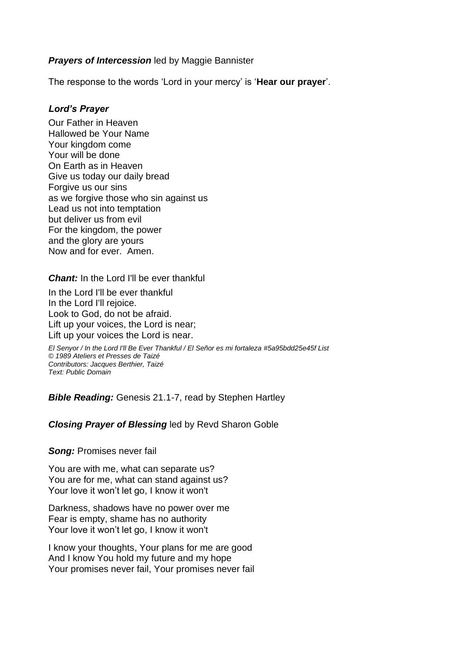# *Prayers of Intercession* led by Maggie Bannister

The response to the words 'Lord in your mercy' is '**Hear our prayer**'.

### *Lord's Prayer*

Our Father in Heaven Hallowed be Your Name Your kingdom come Your will be done On Earth as in Heaven Give us today our daily bread Forgive us our sins as we forgive those who sin against us Lead us not into temptation but deliver us from evil For the kingdom, the power and the glory are yours Now and for ever. Amen.

#### *Chant:* In the Lord I'll be ever thankful

In the Lord I'll be ever thankful In the Lord I'll rejoice. Look to God, do not be afraid. Lift up your voices, the Lord is near; Lift up your voices the Lord is near.

*El Senyor / In the Lord I'll Be Ever Thankful / El Señor es mi fortaleza #5a95bdd25e45f List © 1989 Ateliers et Presses de Taizé Contributors: Jacques Berthier, Taizé Text: Public Domain*

*Bible Reading:* Genesis 21.1-7, read by Stephen Hartley

# *Closing Prayer of Blessing* led by Revd Sharon Goble

*Song:* Promises never fail

You are with me, what can separate us? You are for me, what can stand against us? Your love it won't let go, I know it won't

Darkness, shadows have no power over me Fear is empty, shame has no authority Your love it won't let go, I know it won't

I know your thoughts, Your plans for me are good And I know You hold my future and my hope Your promises never fail, Your promises never fail